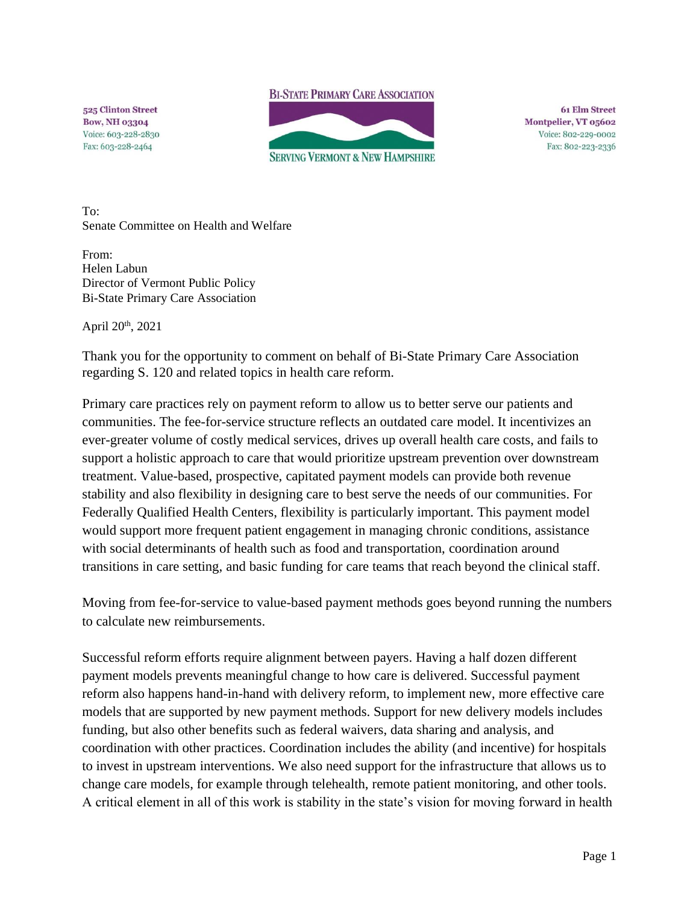**BI-STATE PRIMARY CARE ASSOCIATION** 

525 Clinton Street **Bow, NH 03304** Voice: 603-228-2830 Fax: 603-228-2464



**61 Elm Street** Montpelier, VT 05602 Voice: 802-229-0002 Fax: 802-223-2336

To: Senate Committee on Health and Welfare

From: Helen Labun Director of Vermont Public Policy Bi-State Primary Care Association

April 20th, 2021

Thank you for the opportunity to comment on behalf of Bi-State Primary Care Association regarding S. 120 and related topics in health care reform.

Primary care practices rely on payment reform to allow us to better serve our patients and communities. The fee-for-service structure reflects an outdated care model. It incentivizes an ever-greater volume of costly medical services, drives up overall health care costs, and fails to support a holistic approach to care that would prioritize upstream prevention over downstream treatment. Value-based, prospective, capitated payment models can provide both revenue stability and also flexibility in designing care to best serve the needs of our communities. For Federally Qualified Health Centers, flexibility is particularly important. This payment model would support more frequent patient engagement in managing chronic conditions, assistance with social determinants of health such as food and transportation, coordination around transitions in care setting, and basic funding for care teams that reach beyond the clinical staff.

Moving from fee-for-service to value-based payment methods goes beyond running the numbers to calculate new reimbursements.

Successful reform efforts require alignment between payers. Having a half dozen different payment models prevents meaningful change to how care is delivered. Successful payment reform also happens hand-in-hand with delivery reform, to implement new, more effective care models that are supported by new payment methods. Support for new delivery models includes funding, but also other benefits such as federal waivers, data sharing and analysis, and coordination with other practices. Coordination includes the ability (and incentive) for hospitals to invest in upstream interventions. We also need support for the infrastructure that allows us to change care models, for example through telehealth, remote patient monitoring, and other tools. A critical element in all of this work is stability in the state's vision for moving forward in health